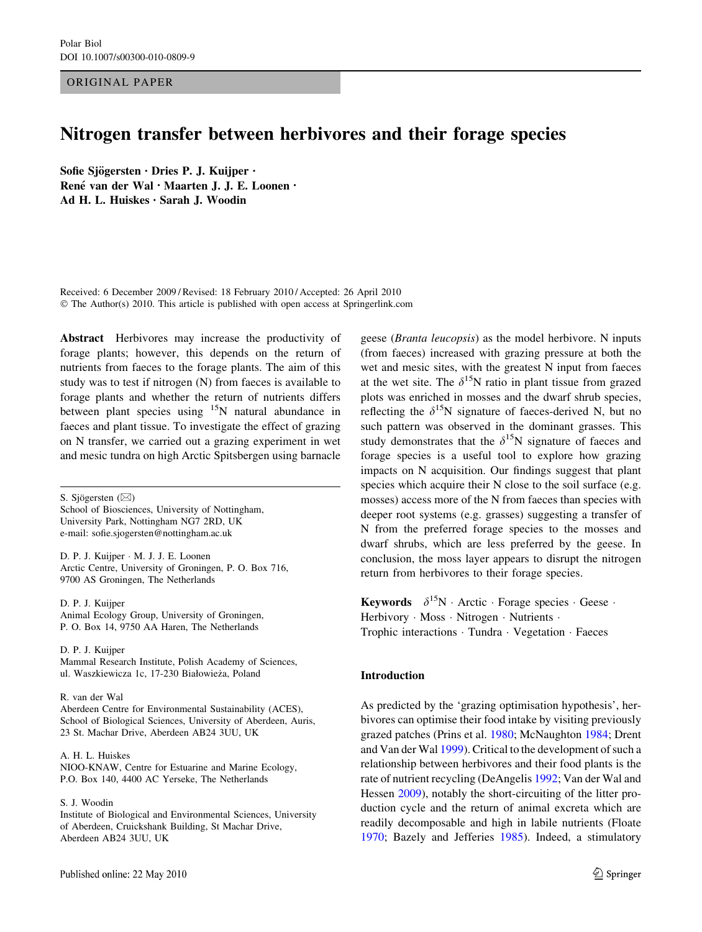ORIGINAL PAPER

# Nitrogen transfer between herbivores and their forage species

Sofie Sjögersten · Dries P. J. Kuijper · René van der Wal · Maarten J. J. E. Loonen · Ad H. L. Huiskes • Sarah J. Woodin

Received: 6 December 2009 / Revised: 18 February 2010 / Accepted: 26 April 2010 © The Author(s) 2010. This article is published with open access at Springerlink.com

Abstract Herbivores may increase the productivity of forage plants; however, this depends on the return of nutrients from faeces to the forage plants. The aim of this study was to test if nitrogen (N) from faeces is available to forage plants and whether the return of nutrients differs between plant species using  $15N$  natural abundance in faeces and plant tissue. To investigate the effect of grazing on N transfer, we carried out a grazing experiment in wet and mesic tundra on high Arctic Spitsbergen using barnacle

S. Sjögersten  $(\boxtimes)$ School of Biosciences, University of Nottingham, University Park, Nottingham NG7 2RD, UK e-mail: sofie.sjogersten@nottingham.ac.uk

D. P. J. Kuijper - M. J. J. E. Loonen Arctic Centre, University of Groningen, P. O. Box 716, 9700 AS Groningen, The Netherlands

D. P. J. Kuijper Animal Ecology Group, University of Groningen, P. O. Box 14, 9750 AA Haren, The Netherlands

D. P. J. Kuijper Mammal Research Institute, Polish Academy of Sciences, ul. Waszkiewicza 1c, 17-230 Białowieza, Poland \_

R. van der Wal

Aberdeen Centre for Environmental Sustainability (ACES), School of Biological Sciences, University of Aberdeen, Auris, 23 St. Machar Drive, Aberdeen AB24 3UU, UK

A. H. L. Huiskes NIOO-KNAW, Centre for Estuarine and Marine Ecology, P.O. Box 140, 4400 AC Yerseke, The Netherlands

S. J. Woodin

Institute of Biological and Environmental Sciences, University of Aberdeen, Cruickshank Building, St Machar Drive, Aberdeen AB24 3UU, UK

geese (Branta leucopsis) as the model herbivore. N inputs (from faeces) increased with grazing pressure at both the wet and mesic sites, with the greatest N input from faeces at the wet site. The  $\delta^{15}N$  ratio in plant tissue from grazed plots was enriched in mosses and the dwarf shrub species, reflecting the  $\delta^{15}N$  signature of faeces-derived N, but no such pattern was observed in the dominant grasses. This study demonstrates that the  $\delta^{15}N$  signature of faeces and forage species is a useful tool to explore how grazing impacts on N acquisition. Our findings suggest that plant species which acquire their N close to the soil surface (e.g. mosses) access more of the N from faeces than species with deeper root systems (e.g. grasses) suggesting a transfer of N from the preferred forage species to the mosses and dwarf shrubs, which are less preferred by the geese. In conclusion, the moss layer appears to disrupt the nitrogen return from herbivores to their forage species.

Keywords  $\delta^{15}N$  · Arctic · Forage species · Geese · Herbivory · Moss · Nitrogen · Nutrients · Trophic interactions - Tundra - Vegetation - Faeces

# Introduction

As predicted by the 'grazing optimisation hypothesis', herbivores can optimise their food intake by visiting previously grazed patches (Prins et al. [1980;](#page-7-0) McNaughton [1984](#page-7-0); Drent and Van der Wal [1999\)](#page-7-0). Critical to the development of such a relationship between herbivores and their food plants is the rate of nutrient recycling (DeAngelis [1992](#page-7-0); Van der Wal and Hessen [2009\)](#page-8-0), notably the short-circuiting of the litter production cycle and the return of animal excreta which are readily decomposable and high in labile nutrients (Floate [1970](#page-7-0); Bazely and Jefferies [1985](#page-7-0)). Indeed, a stimulatory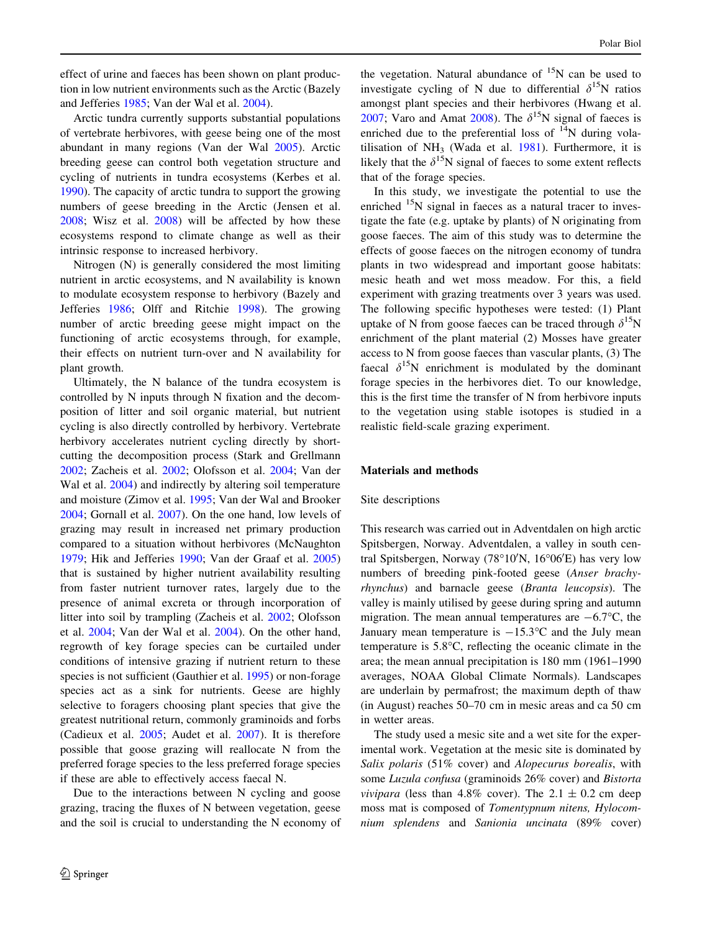effect of urine and faeces has been shown on plant production in low nutrient environments such as the Arctic (Bazely and Jefferies [1985](#page-7-0); Van der Wal et al. [2004](#page-8-0)).

Arctic tundra currently supports substantial populations of vertebrate herbivores, with geese being one of the most abundant in many regions (Van der Wal [2005](#page-8-0)). Arctic breeding geese can control both vegetation structure and cycling of nutrients in tundra ecosystems (Kerbes et al. [1990\)](#page-7-0). The capacity of arctic tundra to support the growing numbers of geese breeding in the Arctic (Jensen et al. [2008;](#page-7-0) Wisz et al. [2008](#page-8-0)) will be affected by how these ecosystems respond to climate change as well as their intrinsic response to increased herbivory.

Nitrogen (N) is generally considered the most limiting nutrient in arctic ecosystems, and N availability is known to modulate ecosystem response to herbivory (Bazely and Jefferies [1986;](#page-7-0) Olff and Ritchie [1998](#page-7-0)). The growing number of arctic breeding geese might impact on the functioning of arctic ecosystems through, for example, their effects on nutrient turn-over and N availability for plant growth.

Ultimately, the N balance of the tundra ecosystem is controlled by N inputs through N fixation and the decomposition of litter and soil organic material, but nutrient cycling is also directly controlled by herbivory. Vertebrate herbivory accelerates nutrient cycling directly by shortcutting the decomposition process (Stark and Grellmann [2002;](#page-7-0) Zacheis et al. [2002;](#page-8-0) Olofsson et al. [2004](#page-7-0); Van der Wal et al. [2004](#page-8-0)) and indirectly by altering soil temperature and moisture (Zimov et al. [1995](#page-8-0); Van der Wal and Brooker [2004;](#page-8-0) Gornall et al. [2007\)](#page-7-0). On the one hand, low levels of grazing may result in increased net primary production compared to a situation without herbivores (McNaughton [1979;](#page-7-0) Hik and Jefferies [1990;](#page-7-0) Van der Graaf et al. [2005\)](#page-8-0) that is sustained by higher nutrient availability resulting from faster nutrient turnover rates, largely due to the presence of animal excreta or through incorporation of litter into soil by trampling (Zacheis et al. [2002](#page-8-0); Olofsson et al. [2004](#page-7-0); Van der Wal et al. [2004](#page-8-0)). On the other hand, regrowth of key forage species can be curtailed under conditions of intensive grazing if nutrient return to these species is not sufficient (Gauthier et al. [1995\)](#page-7-0) or non-forage species act as a sink for nutrients. Geese are highly selective to foragers choosing plant species that give the greatest nutritional return, commonly graminoids and forbs (Cadieux et al. [2005](#page-7-0); Audet et al. [2007\)](#page-7-0). It is therefore possible that goose grazing will reallocate N from the preferred forage species to the less preferred forage species if these are able to effectively access faecal N.

Due to the interactions between N cycling and goose grazing, tracing the fluxes of N between vegetation, geese and the soil is crucial to understanding the N economy of

the vegetation. Natural abundance of  $15N$  can be used to investigate cycling of N due to differential  $\delta^{15}N$  ratios amongst plant species and their herbivores (Hwang et al. [2007](#page-7-0); Varo and Amat [2008](#page-8-0)). The  $\delta^{15}N$  signal of faeces is enriched due to the preferential loss of  $^{14}N$  during volatilisation of  $NH<sub>3</sub>$  (Wada et al. [1981\)](#page-8-0). Furthermore, it is likely that the  $\delta^{15}N$  signal of faeces to some extent reflects that of the forage species.

In this study, we investigate the potential to use the enriched <sup>15</sup>N signal in faeces as a natural tracer to investigate the fate (e.g. uptake by plants) of N originating from goose faeces. The aim of this study was to determine the effects of goose faeces on the nitrogen economy of tundra plants in two widespread and important goose habitats: mesic heath and wet moss meadow. For this, a field experiment with grazing treatments over 3 years was used. The following specific hypotheses were tested: (1) Plant uptake of N from goose faeces can be traced through  $\delta^{15}N$ enrichment of the plant material (2) Mosses have greater access to N from goose faeces than vascular plants, (3) The faecal  $\delta^{15}N$  enrichment is modulated by the dominant forage species in the herbivores diet. To our knowledge, this is the first time the transfer of N from herbivore inputs to the vegetation using stable isotopes is studied in a realistic field-scale grazing experiment.

#### Materials and methods

## Site descriptions

This research was carried out in Adventdalen on high arctic Spitsbergen, Norway. Adventdalen, a valley in south central Spitsbergen, Norway (78°10'N, 16°06'E) has very low numbers of breeding pink-footed geese (Anser brachyrhynchus) and barnacle geese (Branta leucopsis). The valley is mainly utilised by geese during spring and autumn migration. The mean annual temperatures are  $-6.7^{\circ}$ C, the January mean temperature is  $-15.3$ °C and the July mean temperature is  $5.8^{\circ}$ C, reflecting the oceanic climate in the area; the mean annual precipitation is 180 mm (1961–1990 averages, NOAA Global Climate Normals). Landscapes are underlain by permafrost; the maximum depth of thaw (in August) reaches 50–70 cm in mesic areas and ca 50 cm in wetter areas.

The study used a mesic site and a wet site for the experimental work. Vegetation at the mesic site is dominated by Salix polaris (51% cover) and Alopecurus borealis, with some Luzula confusa (graminoids 26% cover) and Bistorta *vivipara* (less than 4.8% cover). The 2.1  $\pm$  0.2 cm deep moss mat is composed of Tomentypnum nitens, Hylocomnium splendens and Sanionia uncinata (89% cover)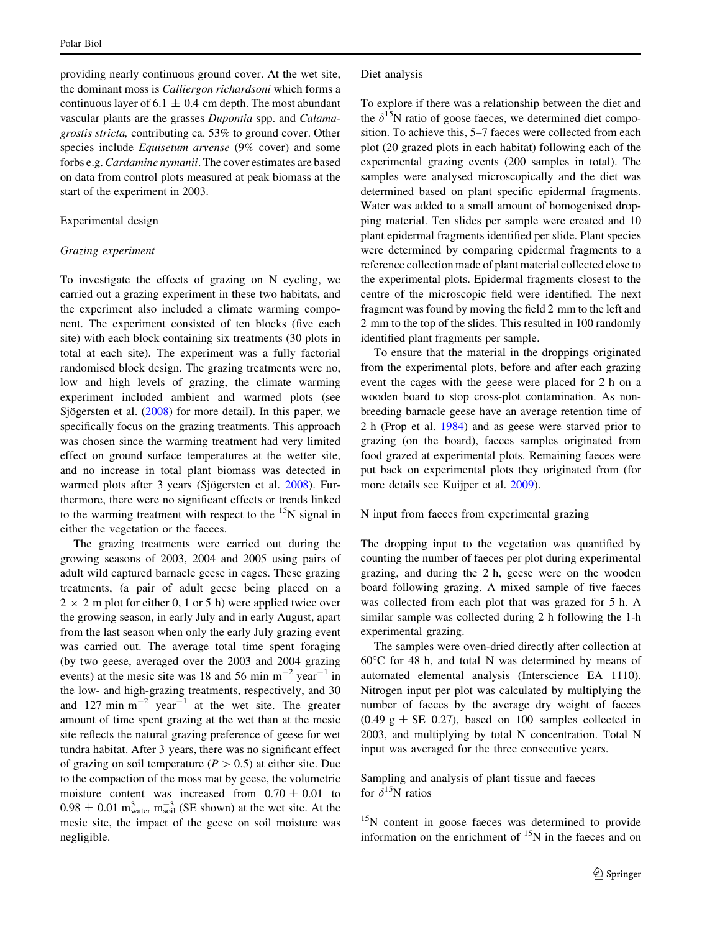providing nearly continuous ground cover. At the wet site, the dominant moss is Calliergon richardsoni which forms a continuous layer of 6.1  $\pm$  0.4 cm depth. The most abundant vascular plants are the grasses Dupontia spp. and Calamagrostis stricta, contributing ca. 53% to ground cover. Other species include Equisetum arvense (9% cover) and some forbs e.g. Cardamine nymanii. The cover estimates are based on data from control plots measured at peak biomass at the start of the experiment in 2003.

# Experimental design

#### Grazing experiment

To investigate the effects of grazing on N cycling, we carried out a grazing experiment in these two habitats, and the experiment also included a climate warming component. The experiment consisted of ten blocks (five each site) with each block containing six treatments (30 plots in total at each site). The experiment was a fully factorial randomised block design. The grazing treatments were no, low and high levels of grazing, the climate warming experiment included ambient and warmed plots (see Sjögersten et al.  $(2008)$  $(2008)$  for more detail). In this paper, we specifically focus on the grazing treatments. This approach was chosen since the warming treatment had very limited effect on ground surface temperatures at the wetter site, and no increase in total plant biomass was detected in warmed plots after 3 years (Sjögersten et al. [2008](#page-7-0)). Furthermore, there were no significant effects or trends linked to the warming treatment with respect to the  $15N$  signal in either the vegetation or the faeces.

The grazing treatments were carried out during the growing seasons of 2003, 2004 and 2005 using pairs of adult wild captured barnacle geese in cages. These grazing treatments, (a pair of adult geese being placed on a  $2 \times 2$  m plot for either 0, 1 or 5 h) were applied twice over the growing season, in early July and in early August, apart from the last season when only the early July grazing event was carried out. The average total time spent foraging (by two geese, averaged over the 2003 and 2004 grazing events) at the mesic site was 18 and 56 min  $m^{-2}$  year<sup>-1</sup> in the low- and high-grazing treatments, respectively, and 30 and 127 min  $m^{-2}$  year<sup>-1</sup> at the wet site. The greater amount of time spent grazing at the wet than at the mesic site reflects the natural grazing preference of geese for wet tundra habitat. After 3 years, there was no significant effect of grazing on soil temperature ( $P > 0.5$ ) at either site. Due to the compaction of the moss mat by geese, the volumetric moisture content was increased from  $0.70 \pm 0.01$  to  $0.98 \pm 0.01$  m<sup>3</sup><sub>water</sub> m<sub>soil</sub> (SE shown) at the wet site. At the mesic site, the impact of the geese on soil moisture was negligible.

To explore if there was a relationship between the diet and the  $\delta^{15}$ N ratio of goose faeces, we determined diet composition. To achieve this, 5–7 faeces were collected from each plot (20 grazed plots in each habitat) following each of the experimental grazing events (200 samples in total). The samples were analysed microscopically and the diet was determined based on plant specific epidermal fragments. Water was added to a small amount of homogenised dropping material. Ten slides per sample were created and 10 plant epidermal fragments identified per slide. Plant species were determined by comparing epidermal fragments to a reference collection made of plant material collected close to the experimental plots. Epidermal fragments closest to the centre of the microscopic field were identified. The next fragment was found by moving the field 2 mm to the left and 2 mm to the top of the slides. This resulted in 100 randomly identified plant fragments per sample.

To ensure that the material in the droppings originated from the experimental plots, before and after each grazing event the cages with the geese were placed for 2 h on a wooden board to stop cross-plot contamination. As nonbreeding barnacle geese have an average retention time of 2 h (Prop et al. [1984\)](#page-7-0) and as geese were starved prior to grazing (on the board), faeces samples originated from food grazed at experimental plots. Remaining faeces were put back on experimental plots they originated from (for more details see Kuijper et al. [2009](#page-7-0)).

## N input from faeces from experimental grazing

The dropping input to the vegetation was quantified by counting the number of faeces per plot during experimental grazing, and during the 2 h, geese were on the wooden board following grazing. A mixed sample of five faeces was collected from each plot that was grazed for 5 h. A similar sample was collected during 2 h following the 1-h experimental grazing.

The samples were oven-dried directly after collection at  $60^{\circ}$ C for 48 h, and total N was determined by means of automated elemental analysis (Interscience EA 1110). Nitrogen input per plot was calculated by multiplying the number of faeces by the average dry weight of faeces  $(0.49 \text{ g} \pm \text{SE} 0.27)$ , based on 100 samples collected in 2003, and multiplying by total N concentration. Total N input was averaged for the three consecutive years.

Sampling and analysis of plant tissue and faeces for  $\delta^{15}N$  ratios

<sup>15</sup>N content in goose faeces was determined to provide information on the enrichment of  $15N$  in the faeces and on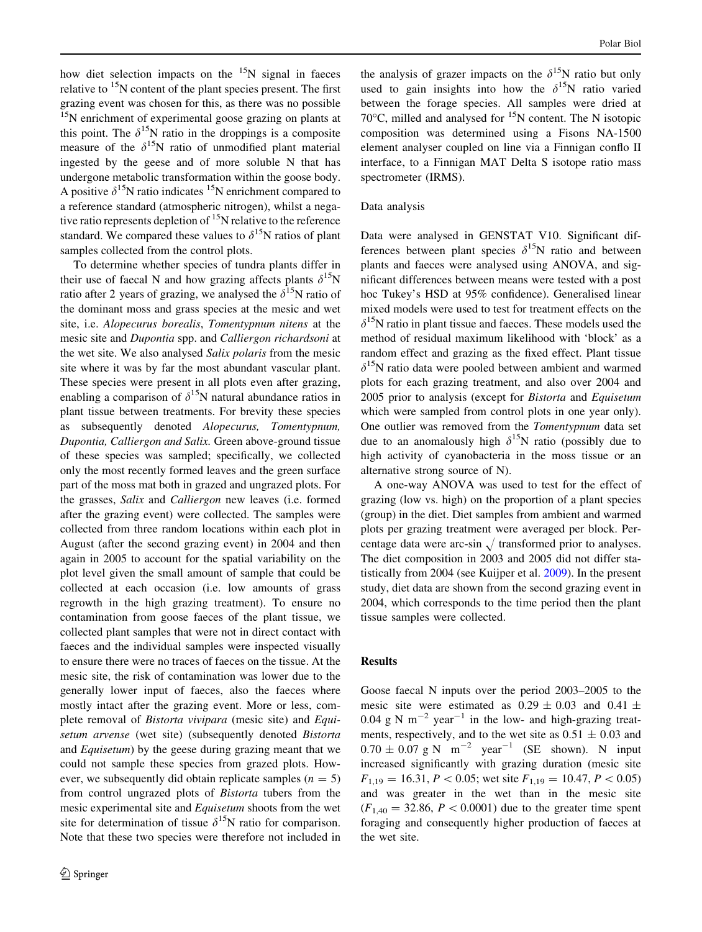how diet selection impacts on the  $15N$  signal in faeces relative to  $15N$  content of the plant species present. The first grazing event was chosen for this, as there was no possible  $15N$  enrichment of experimental goose grazing on plants at this point. The  $\delta^{15}N$  ratio in the droppings is a composite measure of the  $\delta^{15}N$  ratio of unmodified plant material ingested by the geese and of more soluble N that has undergone metabolic transformation within the goose body. A positive  $\delta^{15}N$  ratio indicates  $^{15}N$  enrichment compared to a reference standard (atmospheric nitrogen), whilst a negative ratio represents depletion of  $15$ N relative to the reference standard. We compared these values to  $\delta^{15}$ N ratios of plant samples collected from the control plots.

To determine whether species of tundra plants differ in their use of faecal N and how grazing affects plants  $\delta^{15}N$ ratio after 2 years of grazing, we analysed the  $\delta^{15}N$  ratio of the dominant moss and grass species at the mesic and wet site, i.e. Alopecurus borealis, Tomentypnum nitens at the mesic site and Dupontia spp. and Calliergon richardsoni at the wet site. We also analysed Salix polaris from the mesic site where it was by far the most abundant vascular plant. These species were present in all plots even after grazing, enabling a comparison of  $\delta^{15}N$  natural abundance ratios in plant tissue between treatments. For brevity these species as subsequently denoted Alopecurus, Tomentypnum, Dupontia, Calliergon and Salix. Green above-ground tissue of these species was sampled; specifically, we collected only the most recently formed leaves and the green surface part of the moss mat both in grazed and ungrazed plots. For the grasses, Salix and Calliergon new leaves (i.e. formed after the grazing event) were collected. The samples were collected from three random locations within each plot in August (after the second grazing event) in 2004 and then again in 2005 to account for the spatial variability on the plot level given the small amount of sample that could be collected at each occasion (i.e. low amounts of grass regrowth in the high grazing treatment). To ensure no contamination from goose faeces of the plant tissue, we collected plant samples that were not in direct contact with faeces and the individual samples were inspected visually to ensure there were no traces of faeces on the tissue. At the mesic site, the risk of contamination was lower due to the generally lower input of faeces, also the faeces where mostly intact after the grazing event. More or less, complete removal of Bistorta vivipara (mesic site) and Equisetum arvense (wet site) (subsequently denoted Bistorta and Equisetum) by the geese during grazing meant that we could not sample these species from grazed plots. However, we subsequently did obtain replicate samples ( $n = 5$ ) from control ungrazed plots of Bistorta tubers from the mesic experimental site and Equisetum shoots from the wet site for determination of tissue  $\delta^{15}N$  ratio for comparison. Note that these two species were therefore not included in the analysis of grazer impacts on the  $\delta^{15}$ N ratio but only used to gain insights into how the  $\delta^{15}N$  ratio varied between the forage species. All samples were dried at 70 $^{\circ}$ C, milled and analysed for  $^{15}$ N content. The N isotopic composition was determined using a Fisons NA-1500 element analyser coupled on line via a Finnigan conflo II interface, to a Finnigan MAT Delta S isotope ratio mass spectrometer (IRMS).

# Data analysis

Data were analysed in GENSTAT V10. Significant differences between plant species  $\delta^{15}N$  ratio and between plants and faeces were analysed using ANOVA, and significant differences between means were tested with a post hoc Tukey's HSD at 95% confidence). Generalised linear mixed models were used to test for treatment effects on the  $\delta^{15}$ N ratio in plant tissue and faeces. These models used the method of residual maximum likelihood with 'block' as a random effect and grazing as the fixed effect. Plant tissue  $\delta^{15}$ N ratio data were pooled between ambient and warmed plots for each grazing treatment, and also over 2004 and 2005 prior to analysis (except for Bistorta and Equisetum which were sampled from control plots in one year only). One outlier was removed from the Tomentypnum data set due to an anomalously high  $\delta^{15}N$  ratio (possibly due to high activity of cyanobacteria in the moss tissue or an alternative strong source of N).

A one-way ANOVA was used to test for the effect of grazing (low vs. high) on the proportion of a plant species (group) in the diet. Diet samples from ambient and warmed plots per grazing treatment were averaged per block. Percentage data were arc-sin  $\sqrt{\frac{t^2}{r^2}}$  transformed prior to analyses. The diet composition in 2003 and 2005 did not differ statistically from 2004 (see Kuijper et al. [2009](#page-7-0)). In the present study, diet data are shown from the second grazing event in 2004, which corresponds to the time period then the plant tissue samples were collected.

#### Results

Goose faecal N inputs over the period 2003–2005 to the mesic site were estimated as  $0.29 \pm 0.03$  and  $0.41 \pm$ 0.04 g N  $m^{-2}$  year<sup>-1</sup> in the low- and high-grazing treatments, respectively, and to the wet site as  $0.51 \pm 0.03$  and  $0.70 \pm 0.07$  g N m<sup>-2</sup> year<sup>-1</sup> (SE shown). N input increased significantly with grazing duration (mesic site  $F_{1,19} = 16.31, P < 0.05$ ; wet site  $F_{1,19} = 10.47, P < 0.05$ ) and was greater in the wet than in the mesic site  $(F_{1,40} = 32.86, P < 0.0001)$  due to the greater time spent foraging and consequently higher production of faeces at the wet site.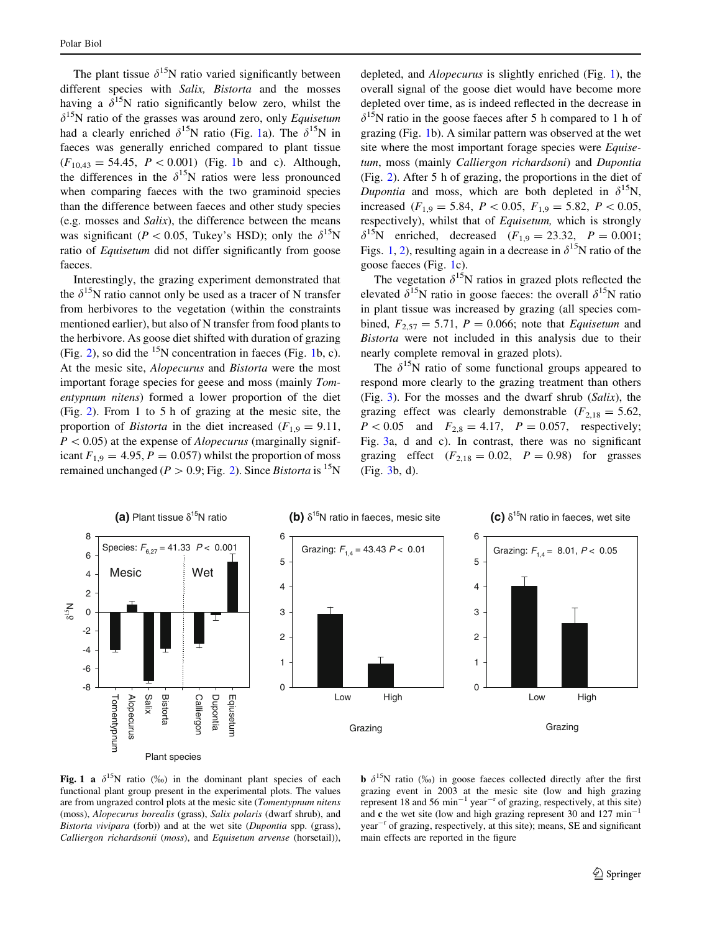The plant tissue  $\delta^{15}N$  ratio varied significantly between different species with Salix, Bistorta and the mosses having a  $\delta^{15}$ N ratio significantly below zero, whilst the  $\delta^{15}$ N ratio of the grasses was around zero, only *Equisetum* had a clearly enriched  $\delta^{15}N$  ratio (Fig. 1a). The  $\delta^{15}N$  in faeces was generally enriched compared to plant tissue  $(F_{10,43} = 54.45, P < 0.001)$  (Fig. 1b and c). Although, the differences in the  $\delta^{15}N$  ratios were less pronounced when comparing faeces with the two graminoid species than the difference between faeces and other study species (e.g. mosses and Salix), the difference between the means was significant (P < 0.05, Tukey's HSD); only the  $\delta^{15}N$ ratio of Equisetum did not differ significantly from goose faeces.

Interestingly, the grazing experiment demonstrated that the  $\delta^{15}N$  ratio cannot only be used as a tracer of N transfer from herbivores to the vegetation (within the constraints mentioned earlier), but also of N transfer from food plants to the herbivore. As goose diet shifted with duration of grazing (Fig. [2](#page-5-0)), so did the  $15N$  concentration in faeces (Fig. 1b, c). At the mesic site, Alopecurus and Bistorta were the most important forage species for geese and moss (mainly Tomentypnum nitens) formed a lower proportion of the diet (Fig. [2](#page-5-0)). From 1 to 5 h of grazing at the mesic site, the proportion of *Bistorta* in the diet increased ( $F_{1,9} = 9.11$ ,  $P < 0.05$ ) at the expense of *Alopecurus* (marginally significant  $F_{1,9} = 4.95, P = 0.057$  whilst the proportion of moss remained unchanged ( $P > 0.9$ ; Fig. [2\)](#page-5-0). Since Bistorta is <sup>15</sup>N

depleted, and Alopecurus is slightly enriched (Fig. 1), the overall signal of the goose diet would have become more depleted over time, as is indeed reflected in the decrease in  $\delta^{15}$ N ratio in the goose faeces after 5 h compared to 1 h of grazing (Fig. 1b). A similar pattern was observed at the wet site where the most important forage species were Equisetum, moss (mainly Calliergon richardsoni) and Dupontia (Fig. [2\)](#page-5-0). After 5 h of grazing, the proportions in the diet of Dupontia and moss, which are both depleted in  $\delta^{15}$ N, increased ( $F_{1,9} = 5.84$ ,  $P \lt 0.05$ ,  $F_{1,9} = 5.82$ ,  $P \lt 0.05$ , respectively), whilst that of Equisetum, which is strongly  $\delta^{15}$ N enriched, decreased (F<sub>1,9</sub> = 23.32, P = 0.001; Figs. 1, [2](#page-5-0)), resulting again in a decrease in  $\delta^{15}$ N ratio of the goose faeces (Fig. 1c).

The vegetation  $\delta^{15}N$  ratios in grazed plots reflected the elevated  $\delta^{15}N$  ratio in goose faeces: the overall  $\delta^{15}N$  ratio in plant tissue was increased by grazing (all species combined,  $F_{2,57} = 5.71$ ,  $P = 0.066$ ; note that *Equisetum* and Bistorta were not included in this analysis due to their nearly complete removal in grazed plots).

The  $\delta^{15}$ N ratio of some functional groups appeared to respond more clearly to the grazing treatment than others (Fig. [3\)](#page-5-0). For the mosses and the dwarf shrub (Salix), the grazing effect was clearly demonstrable  $(F_{2,18} = 5.62,$  $P < 0.05$  and  $F_{2,8} = 4.17$ ,  $P = 0.057$ , respectively; Fig. [3](#page-5-0)a, d and c). In contrast, there was no significant grazing effect  $(F_{2,18} = 0.02, P = 0.98)$  for grasses (Fig. [3b](#page-5-0), d).



Fig. 1 a  $\delta^{15}N$  ratio (%) in the dominant plant species of each functional plant group present in the experimental plots. The values are from ungrazed control plots at the mesic site (Tomentypnum nitens (moss), Alopecurus borealis (grass), Salix polaris (dwarf shrub), and Bistorta vivipara (forb)) and at the wet site (Dupontia spp. (grass), Calliergon richardsonii (moss), and Equisetum arvense (horsetail)),

**b**  $\delta^{15}$ N ratio (%) in goose faeces collected directly after the first grazing event in 2003 at the mesic site (low and high grazing represent 18 and 56 min<sup>-1</sup> year<sup>-r</sup> of grazing, respectively, at this site) and c the wet site (low and high grazing represent 30 and 127 min<sup>-1</sup>  $year<sup>-r</sup>$  of grazing, respectively, at this site); means, SE and significant main effects are reported in the figure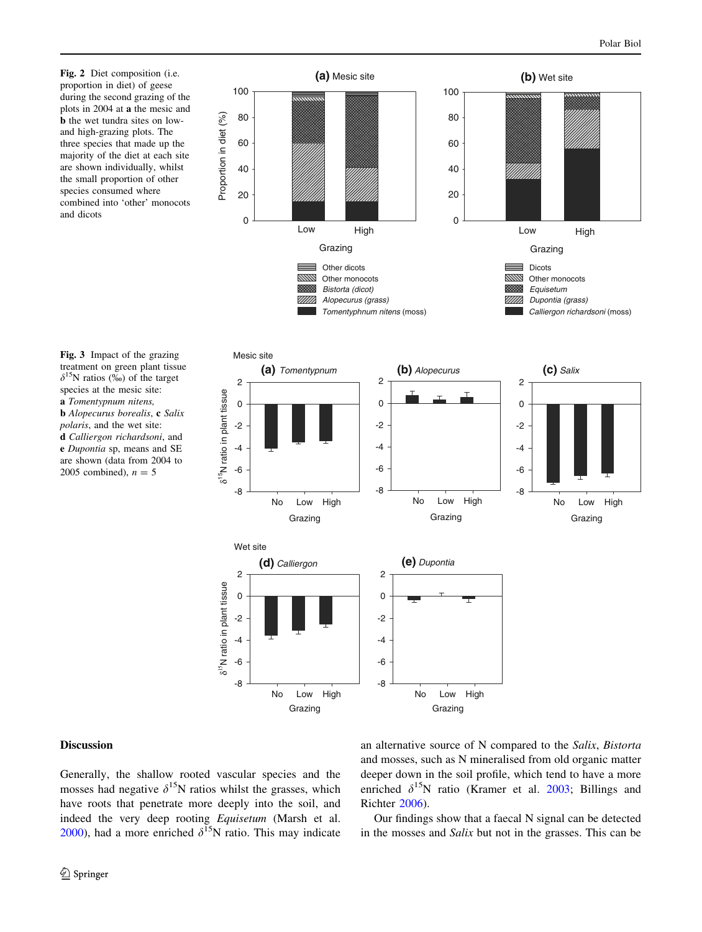Fig. 2 Diet composition (i.e. proportion in diet) of geese during the second grazing of the plots in 2004 at a the mesic and b the wet tundra sites on lowand high-grazing plots. The three species that made up the majority of the diet at each site are shown individually, whilst the small proportion of other species consumed where combined into 'other' monocots and dicots

<span id="page-5-0"></span>

## treatment on green plant tissue  $\delta^{15}$ N ratios (‰) of the target species at the mesic site: a Tomentypnum nitens, **b** Alopecurus borealis, **c** Salix polaris, and the wet site: d Calliergon richardsoni, and e Dupontia sp, means and SE are shown (data from 2004 to 2005 combined),  $n = 5$

# Discussion

Generally, the shallow rooted vascular species and the mosses had negative  $\delta^{15}N$  ratios whilst the grasses, which have roots that penetrate more deeply into the soil, and indeed the very deep rooting Equisetum (Marsh et al. [2000\)](#page-7-0), had a more enriched  $\delta^{15}$ N ratio. This may indicate an alternative source of N compared to the Salix, Bistorta and mosses, such as N mineralised from old organic matter deeper down in the soil profile, which tend to have a more enriched  $\delta^{15}N$  ratio (Kramer et al. [2003;](#page-7-0) Billings and Richter [2006\)](#page-7-0).

Our findings show that a faecal N signal can be detected in the mosses and Salix but not in the grasses. This can be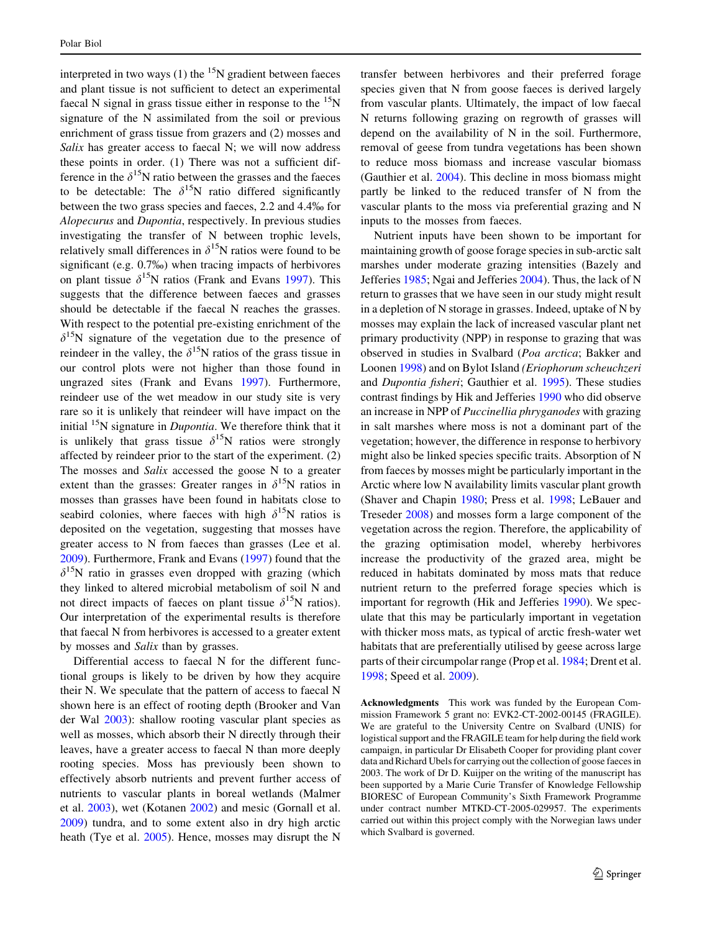interpreted in two ways  $(1)$  the <sup>15</sup>N gradient between faeces and plant tissue is not sufficient to detect an experimental faecal N signal in grass tissue either in response to the  $^{15}$ N signature of the N assimilated from the soil or previous enrichment of grass tissue from grazers and (2) mosses and Salix has greater access to faecal N; we will now address these points in order. (1) There was not a sufficient difference in the  $\delta^{15}N$  ratio between the grasses and the faeces to be detectable: The  $\delta^{15}N$  ratio differed significantly between the two grass species and faeces, 2.2 and 4.4% for Alopecurus and Dupontia, respectively. In previous studies investigating the transfer of N between trophic levels, relatively small differences in  $\delta^{15}N$  ratios were found to be significant (e.g.  $0.7\%$ ) when tracing impacts of herbivores on plant tissue  $\delta^{15}N$  ratios (Frank and Evans [1997\)](#page-7-0). This suggests that the difference between faeces and grasses should be detectable if the faecal N reaches the grasses. With respect to the potential pre-existing enrichment of the  $\delta^{15}N$  signature of the vegetation due to the presence of reindeer in the valley, the  $\delta^{15}N$  ratios of the grass tissue in our control plots were not higher than those found in ungrazed sites (Frank and Evans [1997](#page-7-0)). Furthermore, reindeer use of the wet meadow in our study site is very rare so it is unlikely that reindeer will have impact on the initial  $15N$  signature in *Dupontia*. We therefore think that it is unlikely that grass tissue  $\delta^{15}N$  ratios were strongly affected by reindeer prior to the start of the experiment. (2) The mosses and Salix accessed the goose N to a greater extent than the grasses: Greater ranges in  $\delta^{15}N$  ratios in mosses than grasses have been found in habitats close to seabird colonies, where faeces with high  $\delta^{15}N$  ratios is deposited on the vegetation, suggesting that mosses have greater access to N from faeces than grasses (Lee et al. [2009\)](#page-7-0). Furthermore, Frank and Evans ([1997\)](#page-7-0) found that the  $\delta^{15}$ N ratio in grasses even dropped with grazing (which they linked to altered microbial metabolism of soil N and not direct impacts of faeces on plant tissue  $\delta^{15}$ N ratios). Our interpretation of the experimental results is therefore that faecal N from herbivores is accessed to a greater extent by mosses and Salix than by grasses.

Differential access to faecal N for the different functional groups is likely to be driven by how they acquire their N. We speculate that the pattern of access to faecal N shown here is an effect of rooting depth (Brooker and Van der Wal [2003](#page-7-0)): shallow rooting vascular plant species as well as mosses, which absorb their N directly through their leaves, have a greater access to faecal N than more deeply rooting species. Moss has previously been shown to effectively absorb nutrients and prevent further access of nutrients to vascular plants in boreal wetlands (Malmer et al. [2003](#page-7-0)), wet (Kotanen [2002](#page-7-0)) and mesic (Gornall et al. [2009\)](#page-7-0) tundra, and to some extent also in dry high arctic heath (Tye et al. [2005](#page-7-0)). Hence, mosses may disrupt the N

transfer between herbivores and their preferred forage species given that N from goose faeces is derived largely from vascular plants. Ultimately, the impact of low faecal N returns following grazing on regrowth of grasses will depend on the availability of N in the soil. Furthermore, removal of geese from tundra vegetations has been shown to reduce moss biomass and increase vascular biomass (Gauthier et al. [2004](#page-7-0)). This decline in moss biomass might partly be linked to the reduced transfer of N from the vascular plants to the moss via preferential grazing and N inputs to the mosses from faeces.

Nutrient inputs have been shown to be important for maintaining growth of goose forage species in sub-arctic salt marshes under moderate grazing intensities (Bazely and Jefferies [1985](#page-7-0); Ngai and Jefferies [2004](#page-7-0)). Thus, the lack of N return to grasses that we have seen in our study might result in a depletion of N storage in grasses. Indeed, uptake of N by mosses may explain the lack of increased vascular plant net primary productivity (NPP) in response to grazing that was observed in studies in Svalbard (Poa arctica; Bakker and Loonen [1998\)](#page-7-0) and on Bylot Island (Eriophorum scheuchzeri and Dupontia fisheri; Gauthier et al. [1995\)](#page-7-0). These studies contrast findings by Hik and Jefferies [1990](#page-7-0) who did observe an increase in NPP of Puccinellia phryganodes with grazing in salt marshes where moss is not a dominant part of the vegetation; however, the difference in response to herbivory might also be linked species specific traits. Absorption of N from faeces by mosses might be particularly important in the Arctic where low N availability limits vascular plant growth (Shaver and Chapin [1980;](#page-7-0) Press et al. [1998;](#page-7-0) LeBauer and Treseder [2008](#page-7-0)) and mosses form a large component of the vegetation across the region. Therefore, the applicability of the grazing optimisation model, whereby herbivores increase the productivity of the grazed area, might be reduced in habitats dominated by moss mats that reduce nutrient return to the preferred forage species which is important for regrowth (Hik and Jefferies [1990](#page-7-0)). We speculate that this may be particularly important in vegetation with thicker moss mats, as typical of arctic fresh-water wet habitats that are preferentially utilised by geese across large parts of their circumpolar range (Prop et al. [1984](#page-7-0); Drent et al. [1998](#page-7-0); Speed et al. [2009\)](#page-7-0).

Acknowledgments This work was funded by the European Commission Framework 5 grant no: EVK2-CT-2002-00145 (FRAGILE). We are grateful to the University Centre on Svalbard (UNIS) for logistical support and the FRAGILE team for help during the field work campaign, in particular Dr Elisabeth Cooper for providing plant cover data and Richard Ubels for carrying out the collection of goose faeces in 2003. The work of Dr D. Kuijper on the writing of the manuscript has been supported by a Marie Curie Transfer of Knowledge Fellowship BIORESC of European Community's Sixth Framework Programme under contract number MTKD-CT-2005-029957. The experiments carried out within this project comply with the Norwegian laws under which Svalbard is governed.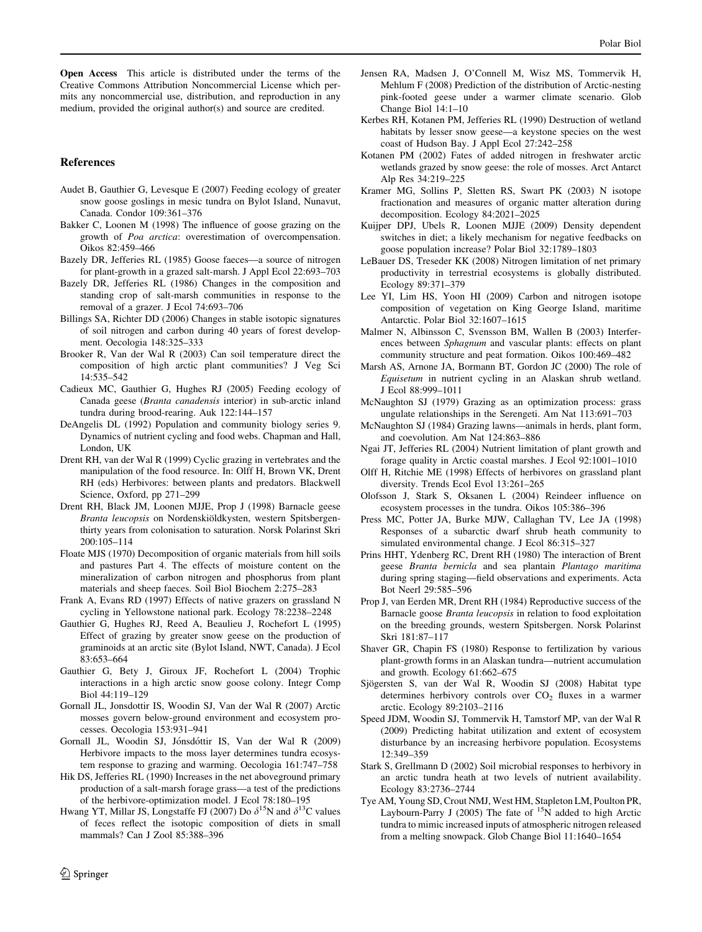<span id="page-7-0"></span>Open Access This article is distributed under the terms of the Creative Commons Attribution Noncommercial License which permits any noncommercial use, distribution, and reproduction in any medium, provided the original author(s) and source are credited.

## References

- Audet B, Gauthier G, Levesque E (2007) Feeding ecology of greater snow goose goslings in mesic tundra on Bylot Island, Nunavut, Canada. Condor 109:361–376
- Bakker C, Loonen M (1998) The influence of goose grazing on the growth of Poa arctica: overestimation of overcompensation. Oikos 82:459–466
- Bazely DR, Jefferies RL (1985) Goose faeces—a source of nitrogen for plant-growth in a grazed salt-marsh. J Appl Ecol 22:693–703
- Bazely DR, Jefferies RL (1986) Changes in the composition and standing crop of salt-marsh communities in response to the removal of a grazer. J Ecol 74:693–706
- Billings SA, Richter DD (2006) Changes in stable isotopic signatures of soil nitrogen and carbon during 40 years of forest development. Oecologia 148:325–333
- Brooker R, Van der Wal R (2003) Can soil temperature direct the composition of high arctic plant communities? J Veg Sci 14:535–542
- Cadieux MC, Gauthier G, Hughes RJ (2005) Feeding ecology of Canada geese (Branta canadensis interior) in sub-arctic inland tundra during brood-rearing. Auk 122:144–157
- DeAngelis DL (1992) Population and community biology series 9. Dynamics of nutrient cycling and food webs. Chapman and Hall, London, UK
- Drent RH, van der Wal R (1999) Cyclic grazing in vertebrates and the manipulation of the food resource. In: Olff H, Brown VK, Drent RH (eds) Herbivores: between plants and predators. Blackwell Science, Oxford, pp 271–299
- Drent RH, Black JM, Loonen MJJE, Prop J (1998) Barnacle geese Branta leucopsis on Nordenskiöldkysten, western Spitsbergenthirty years from colonisation to saturation. Norsk Polarinst Skri 200:105–114
- Floate MJS (1970) Decomposition of organic materials from hill soils and pastures Part 4. The effects of moisture content on the mineralization of carbon nitrogen and phosphorus from plant materials and sheep faeces. Soil Biol Biochem 2:275–283
- Frank A, Evans RD (1997) Effects of native grazers on grassland N cycling in Yellowstone national park. Ecology 78:2238–2248
- Gauthier G, Hughes RJ, Reed A, Beaulieu J, Rochefort L (1995) Effect of grazing by greater snow geese on the production of graminoids at an arctic site (Bylot Island, NWT, Canada). J Ecol 83:653–664
- Gauthier G, Bety J, Giroux JF, Rochefort L (2004) Trophic interactions in a high arctic snow goose colony. Integr Comp Biol 44:119–129
- Gornall JL, Jonsdottir IS, Woodin SJ, Van der Wal R (2007) Arctic mosses govern below-ground environment and ecosystem processes. Oecologia 153:931–941
- Gornall JL, Woodin SJ, Jónsdóttir IS, Van der Wal R (2009) Herbivore impacts to the moss layer determines tundra ecosystem response to grazing and warming. Oecologia 161:747–758
- Hik DS, Jefferies RL (1990) Increases in the net aboveground primary production of a salt-marsh forage grass—a test of the predictions of the herbivore-optimization model. J Ecol 78:180–195
- Hwang YT, Millar JS, Longstaffe FJ (2007) Do  $\delta^{15}N$  and  $\delta^{13}C$  values of feces reflect the isotopic composition of diets in small mammals? Can J Zool 85:388–396
- Jensen RA, Madsen J, O'Connell M, Wisz MS, Tommervik H, Mehlum F (2008) Prediction of the distribution of Arctic-nesting pink-footed geese under a warmer climate scenario. Glob Change Biol 14:1–10
- Kerbes RH, Kotanen PM, Jefferies RL (1990) Destruction of wetland habitats by lesser snow geese—a keystone species on the west coast of Hudson Bay. J Appl Ecol 27:242–258
- Kotanen PM (2002) Fates of added nitrogen in freshwater arctic wetlands grazed by snow geese: the role of mosses. Arct Antarct Alp Res 34:219–225
- Kramer MG, Sollins P, Sletten RS, Swart PK (2003) N isotope fractionation and measures of organic matter alteration during decomposition. Ecology 84:2021–2025
- Kuijper DPJ, Ubels R, Loonen MJJE (2009) Density dependent switches in diet; a likely mechanism for negative feedbacks on goose population increase? Polar Biol 32:1789–1803
- LeBauer DS, Treseder KK (2008) Nitrogen limitation of net primary productivity in terrestrial ecosystems is globally distributed. Ecology 89:371–379
- Lee YI, Lim HS, Yoon HI (2009) Carbon and nitrogen isotope composition of vegetation on King George Island, maritime Antarctic. Polar Biol 32:1607–1615
- Malmer N, Albinsson C, Svensson BM, Wallen B (2003) Interferences between Sphagnum and vascular plants: effects on plant community structure and peat formation. Oikos 100:469–482
- Marsh AS, Arnone JA, Bormann BT, Gordon JC (2000) The role of Equisetum in nutrient cycling in an Alaskan shrub wetland. J Ecol 88:999–1011
- McNaughton SJ (1979) Grazing as an optimization process: grass ungulate relationships in the Serengeti. Am Nat 113:691–703
- McNaughton SJ (1984) Grazing lawns—animals in herds, plant form, and coevolution. Am Nat 124:863–886
- Ngai JT, Jefferies RL (2004) Nutrient limitation of plant growth and forage quality in Arctic coastal marshes. J Ecol 92:1001–1010
- Olff H, Ritchie ME (1998) Effects of herbivores on grassland plant diversity. Trends Ecol Evol 13:261–265
- Olofsson J, Stark S, Oksanen L (2004) Reindeer influence on ecosystem processes in the tundra. Oikos 105:386–396
- Press MC, Potter JA, Burke MJW, Callaghan TV, Lee JA (1998) Responses of a subarctic dwarf shrub heath community to simulated environmental change. J Ecol 86:315–327
- Prins HHT, Ydenberg RC, Drent RH (1980) The interaction of Brent geese Branta bernicla and sea plantain Plantago maritima during spring staging—field observations and experiments. Acta Bot Neerl 29:585–596
- Prop J, van Eerden MR, Drent RH (1984) Reproductive success of the Barnacle goose Branta leucopsis in relation to food exploitation on the breeding grounds, western Spitsbergen. Norsk Polarinst Skri 181:87–117
- Shaver GR, Chapin FS (1980) Response to fertilization by various plant-growth forms in an Alaskan tundra—nutrient accumulation and growth. Ecology 61:662–675
- Sjögersten S, van der Wal R, Woodin SJ (2008) Habitat type determines herbivory controls over  $CO<sub>2</sub>$  fluxes in a warmer arctic. Ecology 89:2103–2116
- Speed JDM, Woodin SJ, Tommervik H, Tamstorf MP, van der Wal R (2009) Predicting habitat utilization and extent of ecosystem disturbance by an increasing herbivore population. Ecosystems 12:349–359
- Stark S, Grellmann D (2002) Soil microbial responses to herbivory in an arctic tundra heath at two levels of nutrient availability. Ecology 83:2736–2744
- Tye AM, Young SD, Crout NMJ, West HM, Stapleton LM, Poulton PR, Laybourn-Parry J (2005) The fate of  $15\overline{\rm N}$  added to high Arctic tundra to mimic increased inputs of atmospheric nitrogen released from a melting snowpack. Glob Change Biol 11:1640–1654